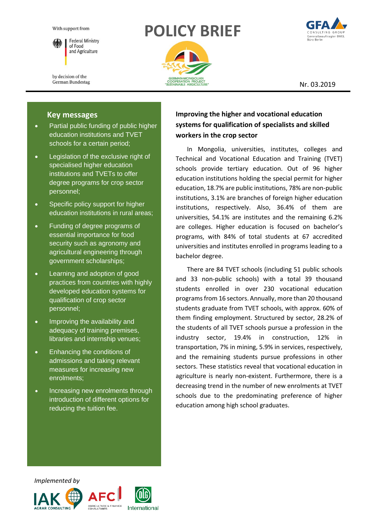With support from



**Federal Ministry** of Food and Agriculture

by decision of the German Bundestag

# **POLICY BRIEF**





Nr. 03.2019

# **Key messages**

- Partial public funding of public higher education institutions and TVET schools for a certain period;
- Legislation of the exclusive right of specialised higher education institutions and TVETs to offer degree programs for crop sector personnel;
- Specific policy support for higher education institutions in rural areas;
- Funding of degree programs of essential importance for food security such as agronomy and agricultural engineering through government scholarships;
- Learning and adoption of good practices from countries with highly developed education systems for qualification of crop sector personnel;
- Improving the availability and adequacy of training premises, libraries and internship venues;
- Enhancing the conditions of admissions and taking relevant measures for increasing new enrolments;
- Increasing new enrolments through introduction of different options for reducing the tuition fee.

# **Improving the higher and vocational education systems for qualification of specialists and skilled workers in the crop sector**

In Mongolia, universities, institutes, colleges and Technical and Vocational Education and Training (TVET) schools provide tertiary education. Out of 96 higher education institutions holding the special permit for higher education, 18.7% are public institutions, 78% are non-public institutions, 3.1% are branches of foreign higher education institutions, respectively. Also, 36.4% of them are universities, 54.1% are institutes and the remaining 6.2% are colleges. Higher education is focused on bachelor's programs, with 84% of total students at 67 accredited universities and institutes enrolled in programs leading to a bachelor degree.

There are 84 TVET schools (including 51 public schools and 33 non-public schools) with a total 39 thousand students enrolled in over 230 vocational education programs from 16 sectors. Annually, more than 20 thousand students graduate from TVET schools, with approx. 60% of them finding employment. Structured by sector, 28.2% of the students of all TVET schools pursue a profession in the industry sector, 19.4% in construction, 12% in transportation, 7% in mining, 5.9% in services, respectively, and the remaining students pursue professions in other sectors. These statistics reveal that vocational education in agriculture is nearly non-existent. Furthermore, there is a decreasing trend in the number of new enrolments at TVET schools due to the predominating preference of higher education among high school graduates.

 *Implemented by*





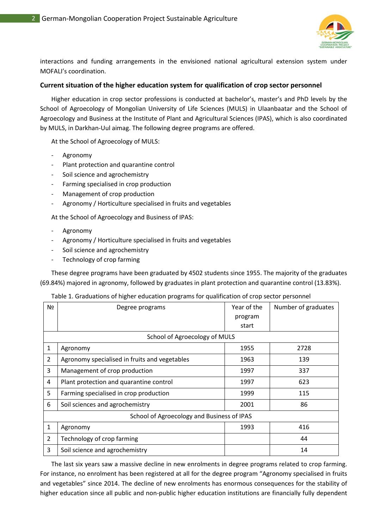

interactions and funding arrangements in the envisioned national agricultural extension system under MOFALI's coordination.

#### **Current situation of the higher education system for qualification of crop sector personnel**

Higher education in crop sector professions is conducted at bachelor's, master's and PhD levels by the School of Agroecology of Mongolian University of Life Sciences (MULS) in Ulaanbaatar and the School of Agroecology and Business at the Institute of Plant and Agricultural Sciences (IPAS), which is also coordinated by MULS, in Darkhan-Uul aimag. The following degree programs are offered.

At the School of Agroecology of MULS:

- **Agronomy**
- Plant protection and quarantine control
- Soil science and agrochemistry
- Farming specialised in crop production
- Management of crop production
- Agronomy / Horticulture specialised in fruits and vegetables

At the School of Agroecology and Business of IPAS:

- **Agronomy**
- Agronomy / Horticulture specialised in fruits and vegetables
- Soil science and agrochemistry
- Technology of crop farming

These degree programs have been graduated by 4502 students since 1955. The majority of the graduates (69.84%) majored in agronomy, followed by graduates in plant protection and quarantine control (13.83%).

| Table 1. Graduations of higher education programs for qualification of crop sector personnel |  |  |  |  |
|----------------------------------------------------------------------------------------------|--|--|--|--|
|----------------------------------------------------------------------------------------------|--|--|--|--|

| N <sub>2</sub>                             | Degree programs                               | Year of the<br>program<br>start | Number of graduates |  |  |  |  |
|--------------------------------------------|-----------------------------------------------|---------------------------------|---------------------|--|--|--|--|
| School of Agroecology of MULS              |                                               |                                 |                     |  |  |  |  |
| 1                                          | Agronomy                                      | 1955                            | 2728                |  |  |  |  |
| 2                                          | Agronomy specialised in fruits and vegetables | 1963                            | 139                 |  |  |  |  |
| 3                                          | Management of crop production                 | 1997                            | 337                 |  |  |  |  |
| 4                                          | Plant protection and quarantine control       | 1997                            | 623                 |  |  |  |  |
| 5                                          | Farming specialised in crop production        | 1999                            | 115                 |  |  |  |  |
| 6                                          | Soil sciences and agrochemistry               | 2001                            | 86                  |  |  |  |  |
| School of Agroecology and Business of IPAS |                                               |                                 |                     |  |  |  |  |
| 1                                          | Agronomy                                      | 1993                            | 416                 |  |  |  |  |
| 2                                          | Technology of crop farming                    |                                 | 44                  |  |  |  |  |
| 3                                          | Soil science and agrochemistry                |                                 | 14                  |  |  |  |  |

The last six years saw a massive decline in new enrolments in degree programs related to crop farming. For instance, no enrolment has been registered at all for the degree program "Agronomy specialised in fruits and vegetables" since 2014. The decline of new enrolments has enormous consequences for the stability of higher education since all public and non-public higher education institutions are financially fully dependent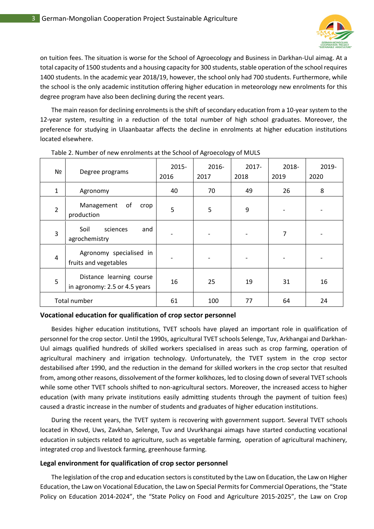

on tuition fees. The situation is worse for the School of Agroecology and Business in Darkhan-Uul aimag. At a total capacity of 1500 students and a housing capacity for 300 students, stable operation of the school requires 1400 students. In the academic year 2018/19, however, the school only had 700 students. Furthermore, while the school is the only academic institution offering higher education in meteorology new enrolments for this degree program have also been declining during the recent years.

The main reason for declining enrolments is the shift of secondary education from a 10-year system to the 12-year system, resulting in a reduction of the total number of high school graduates. Moreover, the preference for studying in Ulaanbaatar affects the decline in enrolments at higher education institutions located elsewhere.

| Nº                  | Degree programs                                           | $2015 -$<br>2016 | 2016-<br>2017 | 2017-<br>2018 | 2018-<br>2019 | 2019-<br>2020 |
|---------------------|-----------------------------------------------------------|------------------|---------------|---------------|---------------|---------------|
| $\mathbf{1}$        | Agronomy                                                  | 40               | 70            | 49            | 26            | 8             |
| $\overline{2}$      | Management<br>of<br>crop<br>production                    | 5                | 5             | 9             |               |               |
| 3                   | Soil<br>sciences<br>and<br>agrochemistry                  | -                |               |               | 7             |               |
| 4                   | Agronomy specialised in<br>fruits and vegetables          |                  |               |               |               |               |
| 5                   | Distance learning course<br>in agronomy: 2.5 or 4.5 years | 16               | 25            | 19            | 31            | 16            |
| <b>Total number</b> |                                                           | 61               | 100           | 77            | 64            | 24            |

Table 2. Number of new enrolments at the School of Agroecology of MULS

#### **Vocational education for qualification of crop sector personnel**

Besides higher education institutions, TVET schools have played an important role in qualification of personnel for the crop sector. Until the 1990s, agricultural TVET schools Selenge, Tuv, Arkhangai and Darkhan-Uul aimags qualified hundreds of skilled workers specialised in areas such as crop farming, operation of agricultural machinery and irrigation technology. Unfortunately, the TVET system in the crop sector destabilised after 1990, and the reduction in the demand for skilled workers in the crop sector that resulted from, among other reasons, dissolvement of the former kolkhozes, led to closing down of several TVET schools while some other TVET schools shifted to non-agricultural sectors. Moreover, the increased access to higher education (with many private institutions easily admitting students through the payment of tuition fees) caused a drastic increase in the number of students and graduates of higher education institutions.

During the recent years, the TVET system is recovering with government support. Several TVET schools located in Khovd, Uws, Zavkhan, Selenge, Tuv and Uvurkhangai aimags have started conducting vocational education in subjects related to agriculture, such as vegetable farming, operation of agricultural machinery, integrated crop and livestock farming, greenhouse farming.

#### **Legal environment for qualification of crop sector personnel**

The legislation of the crop and education sectors is constituted by the Law on Education, the Law on Higher Education, the Law on Vocational Education, the Law on Special Permits for Commercial Operations, the "State Policy on Education 2014-2024", the "State Policy on Food and Agriculture 2015-2025", the Law on Crop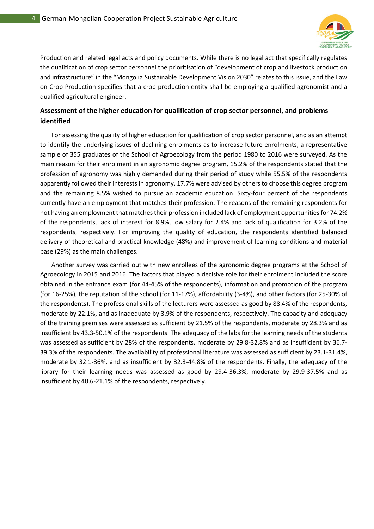

Production and related legal acts and policy documents. While there is no legal act that specifically regulates the qualification of crop sector personnel the prioritisation of "development of crop and livestock production and infrastructure" in the "Mongolia Sustainable Development Vision 2030" relates to this issue, and the Law on Crop Production specifies that a crop production entity shall be employing a qualified agronomist and a qualified agricultural engineer.

# **Assessment of the higher education for qualification of crop sector personnel, and problems identified**

For assessing the quality of higher education for qualification of crop sector personnel, and as an attempt to identify the underlying issues of declining enrolments as to increase future enrolments, a representative sample of 355 graduates of the School of Agroecology from the period 1980 to 2016 were surveyed. As the main reason for their enrolment in an agronomic degree program, 15.2% of the respondents stated that the profession of agronomy was highly demanded during their period of study while 55.5% of the respondents apparently followed their interests in agronomy, 17.7% were advised by others to choose this degree program and the remaining 8.5% wished to pursue an academic education. Sixty-four percent of the respondents currently have an employment that matches their profession. The reasons of the remaining respondents for not having an employment that matches their profession included lack of employment opportunities for 74.2% of the respondents, lack of interest for 8.9%, low salary for 2.4% and lack of qualification for 3.2% of the respondents, respectively. For improving the quality of education, the respondents identified balanced delivery of theoretical and practical knowledge (48%) and improvement of learning conditions and material base (29%) as the main challenges.

Another survey was carried out with new enrollees of the agronomic degree programs at the School of Agroecology in 2015 and 2016. The factors that played a decisive role for their enrolment included the score obtained in the entrance exam (for 44-45% of the respondents), information and promotion of the program (for 16-25%), the reputation of the school (for 11-17%), affordability (3-4%), and other factors (for 25-30% of the respondents). The professional skills of the lecturers were assessed as good by 88.4% of the respondents, moderate by 22.1%, and as inadequate by 3.9% of the respondents, respectively. The capacity and adequacy of the training premises were assessed as sufficient by 21.5% of the respondents, moderate by 28.3% and as insufficient by 43.3-50.1% of the respondents. The adequacy of the labs for the learning needs of the students was assessed as sufficient by 28% of the respondents, moderate by 29.8-32.8% and as insufficient by 36.7- 39.3% of the respondents. The availability of professional literature was assessed as sufficient by 23.1-31.4%, moderate by 32.1-36%, and as insufficient by 32.3-44.8% of the respondents. Finally, the adequacy of the library for their learning needs was assessed as good by 29.4-36.3%, moderate by 29.9-37.5% and as insufficient by 40.6-21.1% of the respondents, respectively.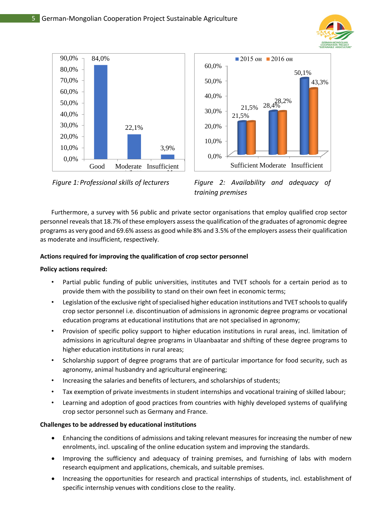





*Figure 1: Professional skills of lecturers Figure 2: Availability and adequacy of training premises*

Furthermore, a survey with 56 public and private sector organisations that employ qualified crop sector personnel reveals that 18.7% of these employers assess the qualification of the graduates of agronomic degree programs as very good and 69.6% assess as good while 8% and 3.5% of the employers assess their qualification as moderate and insufficient, respectively.

## **Actions required for improving the qualification of crop sector personnel**

## **Policy actions required:**

- Partial public funding of public universities, institutes and TVET schools for a certain period as to provide them with the possibility to stand on their own feet in economic terms;
- Legislation of the exclusive right of specialised higher education institutions and TVET schools to qualify crop sector personnel i.e. discontinuation of admissions in agronomic degree programs or vocational education programs at educational institutions that are not specialised in agronomy;
- Provision of specific policy support to higher education institutions in rural areas, incl. limitation of admissions in agricultural degree programs in Ulaanbaatar and shifting of these degree programs to higher education institutions in rural areas;
- Scholarship support of degree programs that are of particular importance for food security, such as agronomy, animal husbandry and agricultural engineering;
- Increasing the salaries and benefits of lecturers, and scholarships of students;
- Tax exemption of private investments in student internships and vocational training of skilled labour;
- Learning and adoption of good practices from countries with highly developed systems of qualifying crop sector personnel such as Germany and France.

## **Challenges to be addressed by educational institutions**

- Enhancing the conditions of admissions and taking relevant measures for increasing the number of new enrolments, incl. upscaling of the online education system and improving the standards.
- Improving the sufficiency and adequacy of training premises, and furnishing of labs with modern research equipment and applications, chemicals, and suitable premises.
- Increasing the opportunities for research and practical internships of students, incl. establishment of specific internship venues with conditions close to the reality.